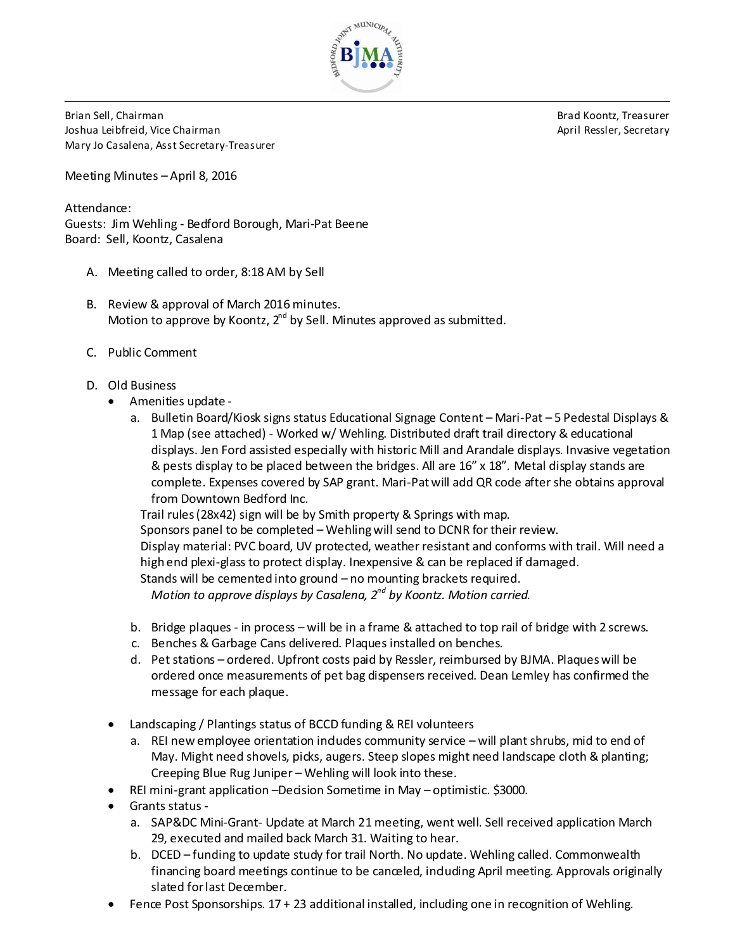

Brian Sell, Chairman Brad Koontz, Treasurer Joshua Leibfreid, Vice Chairman April Ressler, Secretary Mary Jo Casalena, Asst Secretary-Treasurer

Meeting Minutes – April 8, 2016

Attendance: Guests: Jim Wehling - Bedford Borough, Mari-Pat Beene Board: Sell, Koontz, Casalena

- A. Meeting called to order, 8:18 AM by Sell
- B. Review & approval of March 2016 minutes. Motion to approve by Koontz,  $2^{nd}$  by Sell. Minutes approved as submitted.
- C. Public Comment
- D. Old Business
	- Amenities update
		- a. Bulletin Board/Kiosk signs status Educational Signage Content Mari-Pat 5 Pedestal Displays & 1 Map (see attached) - Worked w/ Wehling. Distributed draft trail directory & educational displays. Jen Ford assisted especially with historic Mill and Arandale displays. Invasive vegetation & pests display to be placed between the bridges. All are 16" x 18". Metal display stands are complete. Expenses covered by SAP grant. Mari-Pat will add QR code after she obtains approval from Downtown Bedford Inc.

Trail rules (28x42) sign will be by Smith property & Springs with map.

Sponsors panel to be completed – Wehlingwill send to DCNR for their review. Display material: PVC board, UV protected, weather resistant and conforms with trail. Will need a high end plexi-glass to protect display. Inexpensive & can be replaced if damaged. Stands will be cemented into ground – no mounting brackets required.

*Motion to approve displays by Casalena, 2nd by Koontz. Motion carried.*

- b. Bridge plaques in process will be in a frame & attached to top rail of bridge with 2 screws.
- c. Benches & Garbage Cans delivered. Plaques installed on benches.
- d. Pet stations ordered. Upfront costs paid by Ressler, reimbursed by BJMA. Plaqueswill be ordered once measurements of pet bag dispensers received. Dean Lemley has confirmed the message for each plaque.
- Landscaping / Plantings status of BCCD funding & REI volunteers
	- a. REI new employee orientation indudes community service will plant shrubs, mid to end of May. Might need shovels, picks, augers. Steep slopes might need landscape cloth & planting; Creeping Blue Rug Juniper – Wehling will look into these.
- REI mini-grant application –Decision Sometime in May optimistic. \$3000.
- Grants status
	- a. SAP&DC Mini-Grant- Update at March 21 meeting, went well. Sell received application March 29, executed and mailed back March 31. Waiting to hear.
	- b. DCED funding to update study for trail North. No update. Wehling called. Commonwealth financing board meetings continue to be canceled, induding April meeting. Approvals originally slated forlast December.
- Fence Post Sponsorships. 17 + 23 additional installed, including one in recognition of Wehling.